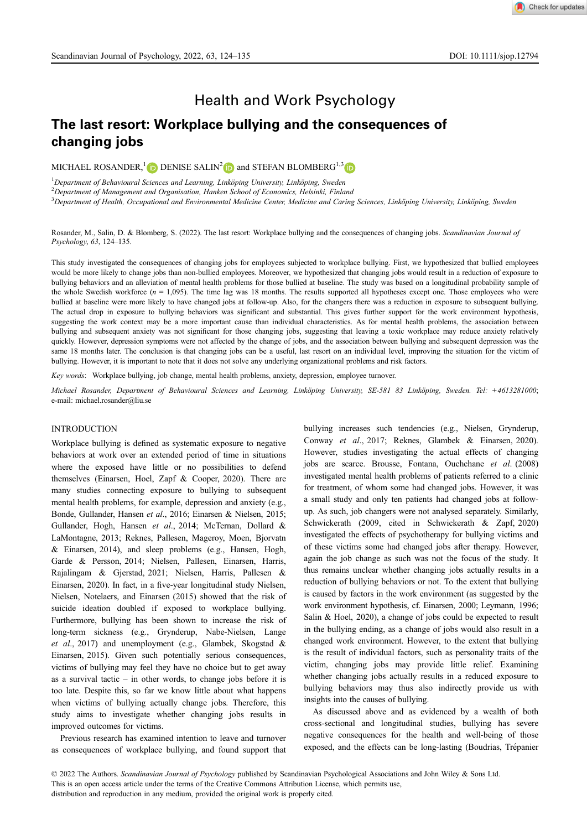Check for updates

# The last resort: Workplace bullying and the consequences of changing jobs

MICHAEL ROSANDER,<sup>[1](https://orcid.org/0000-0002-0202-4650)</sup> D DENISE SALIN<sup>[2](https://orcid.org/0000-0003-4279-3136)</sup> D and STEFAN BLOMBERG<sup>1,3</sup> D

<sup>1</sup>Department of Behavioural Sciences and Learning, Linköping University, Linköping, Sweden<br><sup>2</sup>Department of Managament and Oxygnication, Hanken School of Economics, Helsinki, Finle

<sup>2</sup>Department of Management and Organisation, Hanken School of Economics, Helsinki, Finland

3<br><sup>3</sup> Department of Health, Occupational and Environmental Medicine Center, Medicine and Caring Sciences, Linköping University, Linköping, Sweden

Health and Work Psychology

Rosander, M., Salin, D. & Blomberg, S. (2022). The last resort: Workplace bullying and the consequences of changing jobs. Scandinavian Journal of Psychology, 63, 124–135.

This study investigated the consequences of changing jobs for employees subjected to workplace bullying. First, we hypothesized that bullied employees would be more likely to change jobs than non-bullied employees. Moreover, we hypothesized that changing jobs would result in a reduction of exposure to bullying behaviors and an alleviation of mental health problems for those bullied at baseline. The study was based on a longitudinal probability sample of the whole Swedish workforce  $(n = 1,095)$ . The time lag was 18 months. The results supported all hypotheses except one. Those employees who were bullied at baseline were more likely to have changed jobs at follow-up. Also, for the changers there was a reduction in exposure to subsequent bullying. The actual drop in exposure to bullying behaviors was significant and substantial. This gives further support for the work environment hypothesis, suggesting the work context may be a more important cause than individual characteristics. As for mental health problems, the association between bullying and subsequent anxiety was not significant for those changing jobs, suggesting that leaving a toxic workplace may reduce anxiety relatively quickly. However, depression symptoms were not affected by the change of jobs, and the association between bullying and subsequent depression was the same 18 months later. The conclusion is that changing jobs can be a useful, last resort on an individual level, improving the situation for the victim of bullying. However, it is important to note that it does not solve any underlying organizational problems and risk factors.

Key words: Workplace bullying, job change, mental health problems, anxiety, depression, employee turnover.

Michael Rosander, Department of Behavioural Sciences and Learning, Linköping University, SE-581 83 Linköping, Sweden. Tel: +4613281000; e-mail: [michael.rosander@liu.se](mailto:michael.rosander@liu.se)

# INTRODUCTION

Workplace bullying is defined as systematic exposure to negative behaviors at work over an extended period of time in situations where the exposed have little or no possibilities to defend themselves (Einarsen, Hoel, Zapf & Cooper, 2020). There are many studies connecting exposure to bullying to subsequent mental health problems, for example, depression and anxiety (e.g., Bonde, Gullander, Hansen et al., 2016; Einarsen & Nielsen, 2015; Gullander, Hogh, Hansen et al., 2014; McTernan, Dollard & LaMontagne, 2013; Reknes, Pallesen, Mageroy, Moen, Bjorvatn & Einarsen, 2014), and sleep problems (e.g., Hansen, Hogh, Garde & Persson, 2014; Nielsen, Pallesen, Einarsen, Harris, Rajalingam & Gjerstad, 2021; Nielsen, Harris, Pallesen & Einarsen, 2020). In fact, in a five-year longitudinal study Nielsen, Nielsen, Notelaers, and Einarsen (2015) showed that the risk of suicide ideation doubled if exposed to workplace bullying. Furthermore, bullying has been shown to increase the risk of long-term sickness (e.g., Grynderup, Nabe-Nielsen, Lange et al., 2017) and unemployment (e.g., Glambek, Skogstad & Einarsen, 2015). Given such potentially serious consequences, victims of bullying may feel they have no choice but to get away as a survival tactic  $-$  in other words, to change jobs before it is too late. Despite this, so far we know little about what happens when victims of bullying actually change jobs. Therefore, this study aims to investigate whether changing jobs results in improved outcomes for victims.

Previous research has examined intention to leave and turnover as consequences of workplace bullying, and found support that bullying increases such tendencies (e.g., Nielsen, Grynderup, Conway et al., 2017; Reknes, Glambek & Einarsen, 2020). However, studies investigating the actual effects of changing jobs are scarce. Brousse, Fontana, Ouchchane et al. (2008) investigated mental health problems of patients referred to a clinic for treatment, of whom some had changed jobs. However, it was a small study and only ten patients had changed jobs at followup. As such, job changers were not analysed separately. Similarly, Schwickerath (2009, cited in Schwickerath & Zapf, 2020) investigated the effects of psychotherapy for bullying victims and of these victims some had changed jobs after therapy. However, again the job change as such was not the focus of the study. It thus remains unclear whether changing jobs actually results in a reduction of bullying behaviors or not. To the extent that bullying is caused by factors in the work environment (as suggested by the work environment hypothesis, cf. Einarsen, 2000; Leymann, 1996; Salin & Hoel, 2020), a change of jobs could be expected to result in the bullying ending, as a change of jobs would also result in a changed work environment. However, to the extent that bullying is the result of individual factors, such as personality traits of the victim, changing jobs may provide little relief. Examining whether changing jobs actually results in a reduced exposure to bullying behaviors may thus also indirectly provide us with insights into the causes of bullying.

As discussed above and as evidenced by a wealth of both cross-sectional and longitudinal studies, bullying has severe negative consequences for the health and well-being of those exposed, and the effects can be long-lasting (Boudrias, Trépanier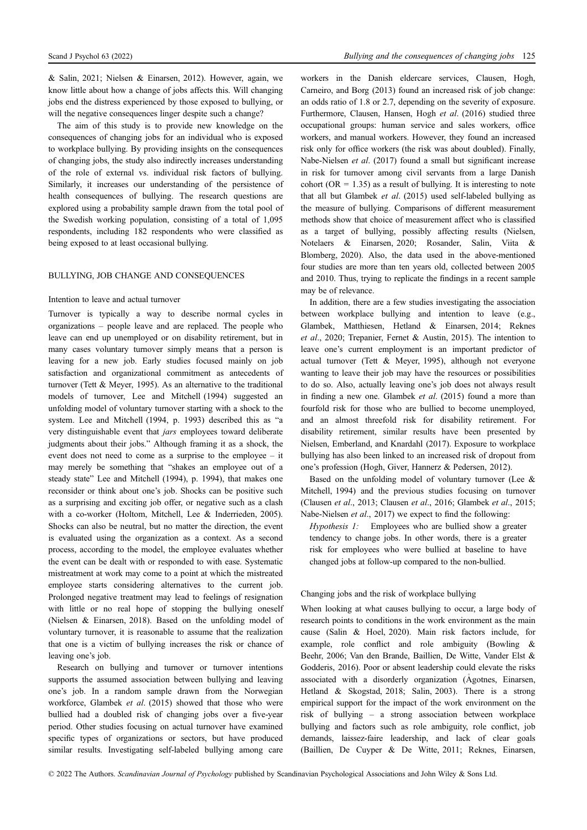& Salin, 2021; Nielsen & Einarsen, 2012). However, again, we know little about how a change of jobs affects this. Will changing jobs end the distress experienced by those exposed to bullying, or will the negative consequences linger despite such a change?

The aim of this study is to provide new knowledge on the consequences of changing jobs for an individual who is exposed to workplace bullying. By providing insights on the consequences of changing jobs, the study also indirectly increases understanding of the role of external vs. individual risk factors of bullying. Similarly, it increases our understanding of the persistence of health consequences of bullying. The research questions are explored using a probability sample drawn from the total pool of the Swedish working population, consisting of a total of 1,095 respondents, including 182 respondents who were classified as being exposed to at least occasional bullying.

# BULLYING, JOB CHANGE AND CONSEQUENCES

# Intention to leave and actual turnover

Turnover is typically a way to describe normal cycles in organizations – people leave and are replaced. The people who leave can end up unemployed or on disability retirement, but in many cases voluntary turnover simply means that a person is leaving for a new job. Early studies focused mainly on job satisfaction and organizational commitment as antecedents of turnover (Tett & Meyer, 1995). As an alternative to the traditional models of turnover, Lee and Mitchell (1994) suggested an unfolding model of voluntary turnover starting with a shock to the system. Lee and Mitchell (1994, p. 1993) described this as "a very distinguishable event that jars employees toward deliberate judgments about their jobs." Although framing it as a shock, the event does not need to come as a surprise to the employee – it may merely be something that "shakes an employee out of a steady state" Lee and Mitchell (1994), p. 1994), that makes one reconsider or think about one's job. Shocks can be positive such as a surprising and exciting job offer, or negative such as a clash with a co-worker (Holtom, Mitchell, Lee & Inderrieden, 2005). Shocks can also be neutral, but no matter the direction, the event is evaluated using the organization as a context. As a second process, according to the model, the employee evaluates whether the event can be dealt with or responded to with ease. Systematic mistreatment at work may come to a point at which the mistreated employee starts considering alternatives to the current job. Prolonged negative treatment may lead to feelings of resignation with little or no real hope of stopping the bullying oneself (Nielsen & Einarsen, 2018). Based on the unfolding model of voluntary turnover, it is reasonable to assume that the realization that one is a victim of bullying increases the risk or chance of leaving one's job.

Research on bullying and turnover or turnover intentions supports the assumed association between bullying and leaving one's job. In a random sample drawn from the Norwegian workforce, Glambek et al. (2015) showed that those who were bullied had a doubled risk of changing jobs over a five-year period. Other studies focusing on actual turnover have examined specific types of organizations or sectors, but have produced similar results. Investigating self-labeled bullying among care workers in the Danish eldercare services, Clausen, Hogh, Carneiro, and Borg (2013) found an increased risk of job change: an odds ratio of 1.8 or 2.7, depending on the severity of exposure. Furthermore, Clausen, Hansen, Hogh et al. (2016) studied three occupational groups: human service and sales workers, office workers, and manual workers. However, they found an increased risk only for office workers (the risk was about doubled). Finally, Nabe-Nielsen et al. (2017) found a small but significant increase in risk for turnover among civil servants from a large Danish cohort ( $OR = 1.35$ ) as a result of bullying. It is interesting to note that all but Glambek et al. (2015) used self-labeled bullying as the measure of bullying. Comparisons of different measurement methods show that choice of measurement affect who is classified as a target of bullying, possibly affecting results (Nielsen, Notelaers & Einarsen, 2020; Rosander, Salin, Viita & Blomberg, 2020). Also, the data used in the above-mentioned four studies are more than ten years old, collected between 2005 and 2010. Thus, trying to replicate the findings in a recent sample may be of relevance.

In addition, there are a few studies investigating the association between workplace bullying and intention to leave (e.g., Glambek, Matthiesen, Hetland & Einarsen, 2014; Reknes et al., 2020; Trepanier, Fernet & Austin, 2015). The intention to leave one's current employment is an important predictor of actual turnover (Tett & Meyer, 1995), although not everyone wanting to leave their job may have the resources or possibilities to do so. Also, actually leaving one's job does not always result in finding a new one. Glambek et al. (2015) found a more than fourfold risk for those who are bullied to become unemployed, and an almost threefold risk for disability retirement. For disability retirement, similar results have been presented by Nielsen, Emberland, and Knardahl (2017). Exposure to workplace bullying has also been linked to an increased risk of dropout from one's profession (Hogh, Giver, Hannerz & Pedersen, 2012).

Based on the unfolding model of voluntary turnover (Lee & Mitchell, 1994) and the previous studies focusing on turnover (Clausen et al., 2013; Clausen et al., 2016; Glambek et al., 2015; Nabe-Nielsen et al., 2017) we expect to find the following:

Hypothesis 1: Employees who are bullied show a greater tendency to change jobs. In other words, there is a greater risk for employees who were bullied at baseline to have changed jobs at follow-up compared to the non-bullied.

# Changing jobs and the risk of workplace bullying

When looking at what causes bullying to occur, a large body of research points to conditions in the work environment as the main cause (Salin & Hoel, 2020). Main risk factors include, for example, role conflict and role ambiguity (Bowling & Beehr, 2006; Van den Brande, Baillien, De Witte, Vander Elst & Godderis, 2016). Poor or absent leadership could elevate the risks associated with a disorderly organization (Agotnes, Einarsen, Hetland & Skogstad, 2018; Salin, 2003). There is a strong empirical support for the impact of the work environment on the risk of bullying – a strong association between workplace bullying and factors such as role ambiguity, role conflict, job demands, laissez-faire leadership, and lack of clear goals (Baillien, De Cuyper & De Witte, 2011; Reknes, Einarsen,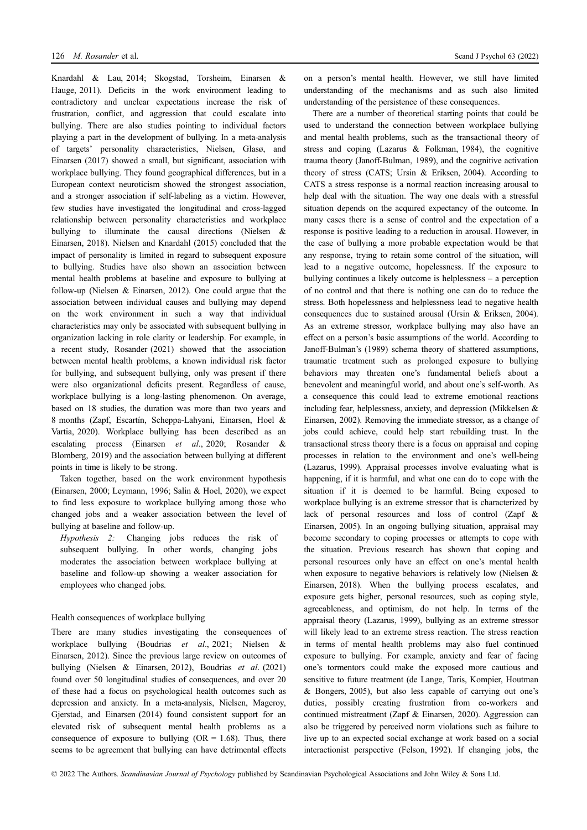Knardahl & Lau, 2014; Skogstad, Torsheim, Einarsen & Hauge, 2011). Deficits in the work environment leading to contradictory and unclear expectations increase the risk of frustration, conflict, and aggression that could escalate into bullying. There are also studies pointing to individual factors playing a part in the development of bullying. In a meta-analysis of targets' personality characteristics, Nielsen, Glasø, and Einarsen (2017) showed a small, but significant, association with workplace bullying. They found geographical differences, but in a European context neuroticism showed the strongest association, and a stronger association if self-labeling as a victim. However, few studies have investigated the longitudinal and cross-lagged relationship between personality characteristics and workplace bullying to illuminate the causal directions (Nielsen & Einarsen, 2018). Nielsen and Knardahl (2015) concluded that the impact of personality is limited in regard to subsequent exposure to bullying. Studies have also shown an association between mental health problems at baseline and exposure to bullying at follow-up (Nielsen & Einarsen, 2012). One could argue that the association between individual causes and bullying may depend on the work environment in such a way that individual characteristics may only be associated with subsequent bullying in organization lacking in role clarity or leadership. For example, in a recent study, Rosander (2021) showed that the association between mental health problems, a known individual risk factor for bullying, and subsequent bullying, only was present if there were also organizational deficits present. Regardless of cause, workplace bullying is a long-lasting phenomenon. On average, based on 18 studies, the duration was more than two years and 8 months (Zapf, Escartín, Scheppa-Lahyani, Einarsen, Hoel & Vartia, 2020). Workplace bullying has been described as an escalating process (Einarsen et al., 2020; Rosander & Blomberg, 2019) and the association between bullying at different points in time is likely to be strong.

Taken together, based on the work environment hypothesis (Einarsen, 2000; Leymann, 1996; Salin & Hoel, 2020), we expect to find less exposure to workplace bullying among those who changed jobs and a weaker association between the level of bullying at baseline and follow-up.

Hypothesis 2: Changing jobs reduces the risk of subsequent bullying. In other words, changing jobs moderates the association between workplace bullying at baseline and follow-up showing a weaker association for employees who changed jobs.

# Health consequences of workplace bullying

There are many studies investigating the consequences of workplace bullying (Boudrias et al., 2021; Nielsen & Einarsen, 2012). Since the previous large review on outcomes of bullying (Nielsen & Einarsen, 2012), Boudrias et al. (2021) found over 50 longitudinal studies of consequences, and over 20 of these had a focus on psychological health outcomes such as depression and anxiety. In a meta-analysis, Nielsen, Mageroy, Gjerstad, and Einarsen (2014) found consistent support for an elevated risk of subsequent mental health problems as a consequence of exposure to bullying  $(OR = 1.68)$ . Thus, there seems to be agreement that bullying can have detrimental effects on a person's mental health. However, we still have limited understanding of the mechanisms and as such also limited understanding of the persistence of these consequences.

There are a number of theoretical starting points that could be used to understand the connection between workplace bullying and mental health problems, such as the transactional theory of stress and coping (Lazarus & Folkman, 1984), the cognitive trauma theory (Janoff-Bulman, 1989), and the cognitive activation theory of stress (CATS; Ursin & Eriksen, 2004). According to CATS a stress response is a normal reaction increasing arousal to help deal with the situation. The way one deals with a stressful situation depends on the acquired expectancy of the outcome. In many cases there is a sense of control and the expectation of a response is positive leading to a reduction in arousal. However, in the case of bullying a more probable expectation would be that any response, trying to retain some control of the situation, will lead to a negative outcome, hopelessness. If the exposure to bullying continues a likely outcome is helplessness – a perception of no control and that there is nothing one can do to reduce the stress. Both hopelessness and helplessness lead to negative health consequences due to sustained arousal (Ursin & Eriksen, 2004). As an extreme stressor, workplace bullying may also have an effect on a person's basic assumptions of the world. According to Janoff-Bulman's (1989) schema theory of shattered assumptions, traumatic treatment such as prolonged exposure to bullying behaviors may threaten one's fundamental beliefs about a benevolent and meaningful world, and about one's self-worth. As a consequence this could lead to extreme emotional reactions including fear, helplessness, anxiety, and depression (Mikkelsen & Einarsen, 2002). Removing the immediate stressor, as a change of jobs could achieve, could help start rebuilding trust. In the transactional stress theory there is a focus on appraisal and coping processes in relation to the environment and one's well-being (Lazarus, 1999). Appraisal processes involve evaluating what is happening, if it is harmful, and what one can do to cope with the situation if it is deemed to be harmful. Being exposed to workplace bullying is an extreme stressor that is characterized by lack of personal resources and loss of control (Zapf & Einarsen, 2005). In an ongoing bullying situation, appraisal may become secondary to coping processes or attempts to cope with the situation. Previous research has shown that coping and personal resources only have an effect on one's mental health when exposure to negative behaviors is relatively low (Nielsen & Einarsen, 2018). When the bullying process escalates, and exposure gets higher, personal resources, such as coping style, agreeableness, and optimism, do not help. In terms of the appraisal theory (Lazarus, 1999), bullying as an extreme stressor will likely lead to an extreme stress reaction. The stress reaction in terms of mental health problems may also fuel continued exposure to bullying. For example, anxiety and fear of facing one's tormentors could make the exposed more cautious and sensitive to future treatment (de Lange, Taris, Kompier, Houtman & Bongers, 2005), but also less capable of carrying out one's duties, possibly creating frustration from co-workers and continued mistreatment (Zapf & Einarsen, 2020). Aggression can also be triggered by perceived norm violations such as failure to live up to an expected social exchange at work based on a social interactionist perspective (Felson, 1992). If changing jobs, the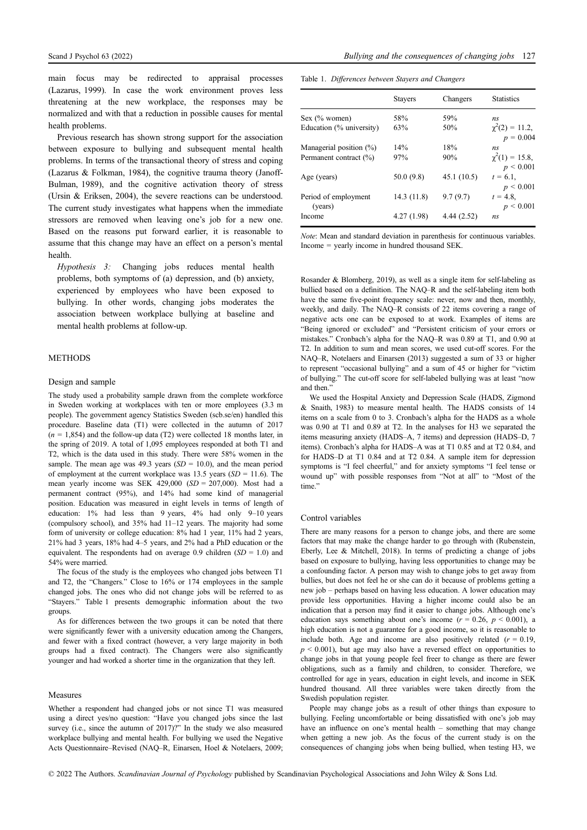main focus may be redirected to appraisal processes (Lazarus, 1999). In case the work environment proves less threatening at the new workplace, the responses may be normalized and with that a reduction in possible causes for mental health problems.

Previous research has shown strong support for the association between exposure to bullying and subsequent mental health problems. In terms of the transactional theory of stress and coping (Lazarus & Folkman, 1984), the cognitive trauma theory (Janoff-Bulman, 1989), and the cognitive activation theory of stress (Ursin & Eriksen, 2004), the severe reactions can be understood. The current study investigates what happens when the immediate stressors are removed when leaving one's job for a new one. Based on the reasons put forward earlier, it is reasonable to assume that this change may have an effect on a person's mental health.

Hypothesis 3: Changing jobs reduces mental health problems, both symptoms of (a) depression, and (b) anxiety, experienced by employees who have been exposed to bullying. In other words, changing jobs moderates the association between workplace bullying at baseline and mental health problems at follow-up.

# METHODS

# Design and sample

The study used a probability sample drawn from the complete workforce in Sweden working at workplaces with ten or more employees (3.3 m people). The government agency Statistics Sweden (scb.se/en) handled this procedure. Baseline data (T1) were collected in the autumn of 2017  $(n = 1,854)$  and the follow-up data (T2) were collected 18 months later, in the spring of 2019. A total of 1,095 employees responded at both T1 and T2, which is the data used in this study. There were 58% women in the sample. The mean age was 49.3 years  $(SD = 10.0)$ , and the mean period of employment at the current workplace was 13.5 years  $(SD = 11.6)$ . The mean yearly income was SEK  $429,000$  (SD = 207,000). Most had a permanent contract (95%), and 14% had some kind of managerial position. Education was measured in eight levels in terms of length of education: 1% had less than 9 years, 4% had only 9–10 years (compulsory school), and 35% had 11–12 years. The majority had some form of university or college education: 8% had 1 year, 11% had 2 years, 21% had 3 years, 18% had 4–5 years, and 2% had a PhD education or the equivalent. The respondents had on average 0.9 children  $(SD = 1.0)$  and 54% were married.

The focus of the study is the employees who changed jobs between T1 and T2, the "Changers." Close to 16% or 174 employees in the sample changed jobs. The ones who did not change jobs will be referred to as "Stayers." Table 1 presents demographic information about the two groups.

As for differences between the two groups it can be noted that there were significantly fewer with a university education among the Changers, and fewer with a fixed contract (however, a very large majority in both groups had a fixed contract). The Changers were also significantly younger and had worked a shorter time in the organization that they left.

# Measures

Whether a respondent had changed jobs or not since T1 was measured using a direct yes/no question: "Have you changed jobs since the last survey (i.e., since the autumn of 2017)?" In the study we also measured workplace bullying and mental health. For bullying we used the Negative Acts Questionnaire–Revised (NAQ–R, Einarsen, Hoel & Notelaers, 2009;

| Table 1. Differences between Stayers and Changers |  |  |
|---------------------------------------------------|--|--|
|                                                   |  |  |

|                                 | <b>Stayers</b> | Changers    | <b>Statistics</b>                      |
|---------------------------------|----------------|-------------|----------------------------------------|
| Sex (% women)                   | 58%            | 59%         | ns                                     |
| Education (% university)        | 63%            | 50%         | $\chi^2(2) = 11.2$ ,<br>$p = 0.004$    |
| Managerial position $(\%)$      | 14%            | 18%         | ns                                     |
| Permanent contract (%)          | 97%            | 90%         | $\chi^2(1) = 15.8$ ,<br>$p \leq 0.001$ |
| Age (years)                     | 50.0(9.8)      | 45.1(10.5)  | $t = 6.1$ ,<br>$p \leq 0.001$          |
| Period of employment<br>(years) | 14.3 (11.8)    | 9.7(9.7)    | $t = 4.8$ .<br>$p \le 0.001$           |
| Income                          | 4.27 (1.98)    | 4.44 (2.52) | n <sub>S</sub>                         |

Note: Mean and standard deviation in parenthesis for continuous variables. Income = yearly income in hundred thousand SEK.

Rosander & Blomberg, 2019), as well as a single item for self-labeling as bullied based on a definition. The NAQ–R and the self-labeling item both have the same five-point frequency scale: never, now and then, monthly, weekly, and daily. The NAQ–R consists of 22 items covering a range of negative acts one can be exposed to at work. Examples of items are "Being ignored or excluded" and "Persistent criticism of your errors or mistakes." Cronbach's alpha for the NAQ–R was 0.89 at T1, and 0.90 at T2. In addition to sum and mean scores, we used cut-off scores. For the NAQ–R, Notelaers and Einarsen (2013) suggested a sum of 33 or higher to represent "occasional bullying" and a sum of 45 or higher for "victim of bullying." The cut-off score for self-labeled bullying was at least "now and then."

We used the Hospital Anxiety and Depression Scale (HADS, Zigmond & Snaith, 1983) to measure mental health. The HADS consists of 14 items on a scale from 0 to 3. Cronbach's alpha for the HADS as a whole was 0.90 at T1 and 0.89 at T2. In the analyses for H3 we separated the items measuring anxiety (HADS–A, 7 items) and depression (HADS–D, 7 items). Cronbach's alpha for HADS–A was at T1 0.85 and at T2 0.84, and for HADS–D at T1 0.84 and at T2 0.84. A sample item for depression symptoms is "I feel cheerful," and for anxiety symptoms "I feel tense or wound up" with possible responses from "Not at all" to "Most of the time."

# Control variables

There are many reasons for a person to change jobs, and there are some factors that may make the change harder to go through with (Rubenstein, Eberly, Lee & Mitchell, 2018). In terms of predicting a change of jobs based on exposure to bullying, having less opportunities to change may be a confounding factor. A person may wish to change jobs to get away from bullies, but does not feel he or she can do it because of problems getting a new job – perhaps based on having less education. A lower education may provide less opportunities. Having a higher income could also be an indication that a person may find it easier to change jobs. Although one's education says something about one's income  $(r = 0.26, p < 0.001)$ , a high education is not a guarantee for a good income, so it is reasonable to include both. Age and income are also positively related  $(r = 0.19)$ ,  $p < 0.001$ ), but age may also have a reversed effect on opportunities to change jobs in that young people feel freer to change as there are fewer obligations, such as a family and children, to consider. Therefore, we controlled for age in years, education in eight levels, and income in SEK hundred thousand. All three variables were taken directly from the Swedish population register.

People may change jobs as a result of other things than exposure to bullying. Feeling uncomfortable or being dissatisfied with one's job may have an influence on one's mental health – something that may change when getting a new job. As the focus of the current study is on the consequences of changing jobs when being bullied, when testing H3, we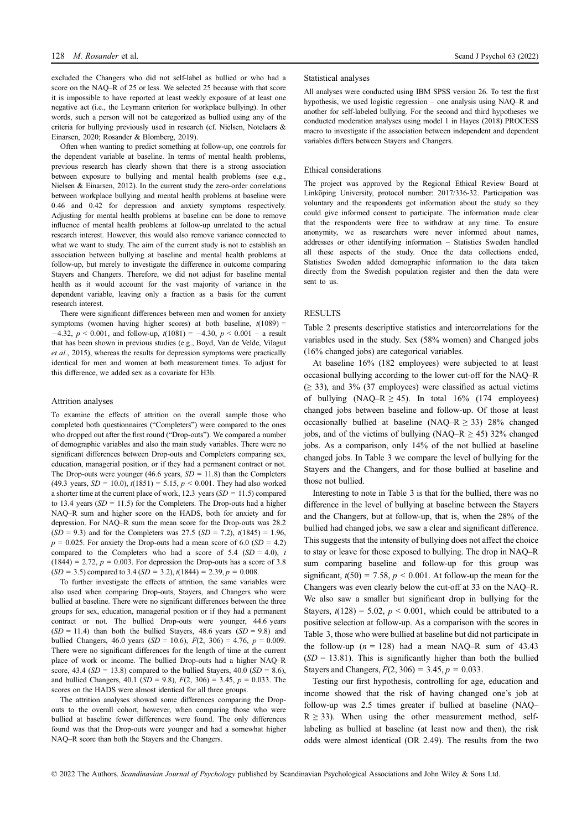excluded the Changers who did not self-label as bullied or who had a score on the NAQ–R of 25 or less. We selected 25 because with that score it is impossible to have reported at least weekly exposure of at least one negative act (i.e., the Leymann criterion for workplace bullying). In other words, such a person will not be categorized as bullied using any of the criteria for bullying previously used in research (cf. Nielsen, Notelaers & Einarsen, 2020; Rosander & Blomberg, 2019).

Often when wanting to predict something at follow-up, one controls for the dependent variable at baseline. In terms of mental health problems, previous research has clearly shown that there is a strong association between exposure to bullying and mental health problems (see e.g., Nielsen & Einarsen, 2012). In the current study the zero-order correlations between workplace bullying and mental health problems at baseline were 0.46 and 0.42 for depression and anxiety symptoms respectively. Adjusting for mental health problems at baseline can be done to remove influence of mental health problems at follow-up unrelated to the actual research interest. However, this would also remove variance connected to what we want to study. The aim of the current study is not to establish an association between bullying at baseline and mental health problems at follow-up, but merely to investigate the difference in outcome comparing Stayers and Changers. Therefore, we did not adjust for baseline mental health as it would account for the vast majority of variance in the dependent variable, leaving only a fraction as a basis for the current research interest.

There were significant differences between men and women for anxiety symptoms (women having higher scores) at both baseline,  $t(1089)$  =  $-4.32, p < 0.001$ , and follow-up,  $t(1081) = -4.30, p < 0.001$  – a result that has been shown in previous studies (e.g., Boyd, Van de Velde, Vilagut et al., 2015), whereas the results for depression symptoms were practically identical for men and women at both measurement times. To adjust for this difference, we added sex as a covariate for H3b.

#### Attrition analyses

To examine the effects of attrition on the overall sample those who completed both questionnaires ("Completers") were compared to the ones who dropped out after the first round ("Drop-outs"). We compared a number of demographic variables and also the main study variables. There were no significant differences between Drop-outs and Completers comparing sex, education, managerial position, or if they had a permanent contract or not. The Drop-outs were younger (46.6 years,  $SD = 11.8$ ) than the Completers (49.3 years,  $SD = 10.0$ ),  $t(1851) = 5.15$ ,  $p < 0.001$ . They had also worked a shorter time at the current place of work,  $12.3$  years ( $SD = 11.5$ ) compared to 13.4 years  $(SD = 11.5)$  for the Completers. The Drop-outs had a higher NAQ–R sum and higher score on the HADS, both for anxiety and for depression. For NAQ–R sum the mean score for the Drop-outs was 28.2  $(SD = 9.3)$  and for the Completers was 27.5  $(SD = 7.2)$ ,  $t(1845) = 1.96$ ,  $p = 0.025$ . For anxiety the Drop-outs had a mean score of 6.0 (SD = 4.2) compared to the Completers who had a score of 5.4  $(SD = 4.0)$ , t  $(1844) = 2.72$ ,  $p = 0.003$ . For depression the Drop-outs has a score of 3.8  $(SD = 3.5)$  compared to 3.4  $(SD = 3.2)$ ,  $t(1844) = 2.39$ ,  $p = 0.008$ .

To further investigate the effects of attrition, the same variables were also used when comparing Drop-outs, Stayers, and Changers who were bullied at baseline. There were no significant differences between the three groups for sex, education, managerial position or if they had a permanent contract or not. The bullied Drop-outs were younger, 44.6 years  $(SD = 11.4)$  than both the bullied Stayers, 48.6 years  $(SD = 9.8)$  and bullied Changers, 46.0 years ( $SD = 10.6$ ),  $F(2, 306) = 4.76$ ,  $p = 0.009$ . There were no significant differences for the length of time at the current place of work or income. The bullied Drop-outs had a higher NAQ–R score, 43.4 ( $SD = 13.8$ ) compared to the bullied Stavers, 40.0 ( $SD = 8.6$ ), and bullied Changers, 40.1 ( $SD = 9.8$ ),  $F(2, 306) = 3.45$ ,  $p = 0.033$ . The scores on the HADS were almost identical for all three groups.

The attrition analyses showed some differences comparing the Dropouts to the overall cohort, however, when comparing those who were bullied at baseline fewer differences were found. The only differences found was that the Drop-outs were younger and had a somewhat higher NAQ–R score than both the Stayers and the Changers.

#### Statistical analyses

All analyses were conducted using IBM SPSS version 26. To test the first hypothesis, we used logistic regression – one analysis using NAQ–R and another for self-labeled bullying. For the second and third hypotheses we conducted moderation analyses using model 1 in Hayes (2018) PROCESS macro to investigate if the association between independent and dependent variables differs between Stayers and Changers.

#### Ethical considerations

The project was approved by the Regional Ethical Review Board at Linköping University, protocol number: 2017/336-32. Participation was voluntary and the respondents got information about the study so they could give informed consent to participate. The information made clear that the respondents were free to withdraw at any time. To ensure anonymity, we as researchers were never informed about names, addresses or other identifying information – Statistics Sweden handled all these aspects of the study. Once the data collections ended, Statistics Sweden added demographic information to the data taken directly from the Swedish population register and then the data were sent to us.

# RESULTS

Table 2 presents descriptive statistics and intercorrelations for the variables used in the study. Sex (58% women) and Changed jobs (16% changed jobs) are categorical variables.

At baseline 16% (182 employees) were subjected to at least occasional bullying according to the lower cut-off for the NAQ–R  $(≥ 33)$ , and 3% (37 employees) were classified as actual victims of bullying  $(NAO-R > 45)$ . In total  $16\%$  (174 employees) changed jobs between baseline and follow-up. Of those at least occasionally bullied at baseline (NAQ–R  $\geq$  33) 28% changed jobs, and of the victims of bullying (NAQ–R  $\geq$  45) 32% changed jobs. As a comparison, only 14% of the not bullied at baseline changed jobs. In Table 3 we compare the level of bullying for the Stayers and the Changers, and for those bullied at baseline and those not bullied.

Interesting to note in Table 3 is that for the bullied, there was no difference in the level of bullying at baseline between the Stayers and the Changers, but at follow-up, that is, when the 28% of the bullied had changed jobs, we saw a clear and significant difference. This suggests that the intensity of bullying does not affect the choice to stay or leave for those exposed to bullying. The drop in NAQ–R sum comparing baseline and follow-up for this group was significant,  $t(50) = 7.58$ ,  $p < 0.001$ . At follow-up the mean for the Changers was even clearly below the cut-off at 33 on the NAQ–R. We also saw a smaller but significant drop in bullying for the Stayers,  $t(128) = 5.02$ ,  $p \le 0.001$ , which could be attributed to a positive selection at follow-up. As a comparison with the scores in Table 3, those who were bullied at baseline but did not participate in the follow-up  $(n = 128)$  had a mean NAQ–R sum of 43.43  $(SD = 13.81)$ . This is significantly higher than both the bullied Stayers and Changers,  $F(2, 306) = 3.45$ ,  $p = 0.033$ .

Testing our first hypothesis, controlling for age, education and income showed that the risk of having changed one's job at follow-up was 2.5 times greater if bullied at baseline (NAQ–  $R \geq 33$ ). When using the other measurement method, selflabeling as bullied at baseline (at least now and then), the risk odds were almost identical (OR 2.49). The results from the two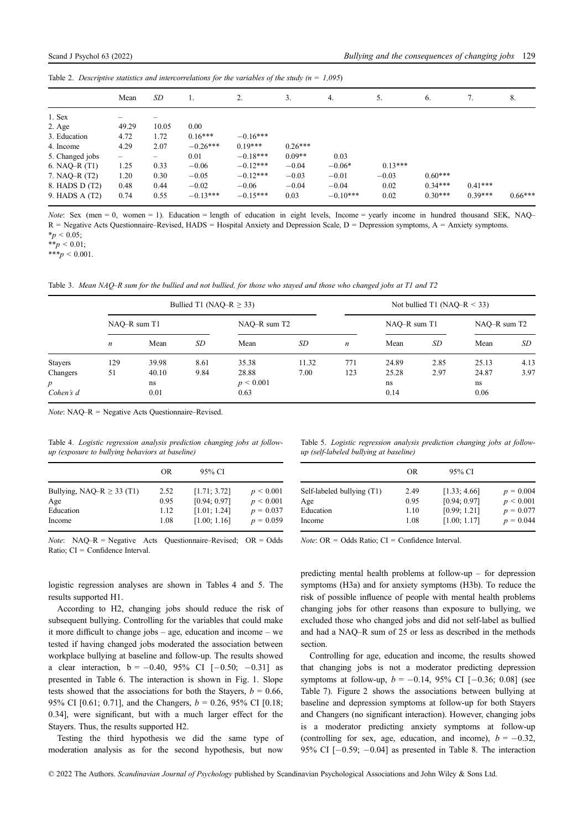Table 2. Descriptive statistics and intercorrelations for the variables of the study ( $n = 1,095$ )

|                 | Mean  | SD    | 1.         | 2.         | 3.        | 4.         | 5.        | 6.        |           | 8.        |
|-----------------|-------|-------|------------|------------|-----------|------------|-----------|-----------|-----------|-----------|
| 1. Sex          |       |       |            |            |           |            |           |           |           |           |
| $2. \text{Age}$ | 49.29 | 10.05 | 0.00       |            |           |            |           |           |           |           |
| 3. Education    | 4.72  | 1.72  | $0.16***$  | $-0.16***$ |           |            |           |           |           |           |
| 4. Income       | 4.29  | 2.07  | $-0.26***$ | $0.19***$  | $0.26***$ |            |           |           |           |           |
| 5. Changed jobs | -     | -     | 0.01       | $-0.18***$ | $0.09**$  | 0.03       |           |           |           |           |
| 6. NAQ-R $(T1)$ | 1.25  | 0.33  | $-0.06$    | $-0.12***$ | $-0.04$   | $-0.06*$   | $0.13***$ |           |           |           |
| 7. NAO-R (T2)   | 1.20  | 0.30  | $-0.05$    | $-0.12***$ | $-0.03$   | $-0.01$    | $-0.03$   | $0.60***$ |           |           |
| 8. HADS D (T2)  | 0.48  | 0.44  | $-0.02$    | $-0.06$    | $-0.04$   | $-0.04$    | 0.02      | $0.34***$ | $0.41***$ |           |
| 9. HADS A (T2)  | 0.74  | 0.55  | $-0.13***$ | $-0.15***$ | 0.03      | $-0.10***$ | 0.02      | $0.30***$ | $0.39***$ | $0.66***$ |

Note: Sex (men = 0, women = 1). Education = length of education in eight levels, Income = yearly income in hundred thousand SEK, NAQ– R = Negative Acts Questionnaire–Revised, HADS = Hospital Anxiety and Depression Scale, D = Depression symptoms, A = Anxiety symptoms.  $*_p$  < 0.05;

 $**_p < 0.01;$ 

 $***p < 0.001$ .

Table 3. Mean NAQ–R sum for the bullied and not bullied, for those who stayed and those who changed jobs at T1 and T2

|                  | Bullied T1 (NAQ–R $\geq$ 33) |       |              |               |       |                  | Not bullied T1 (NAO–R $<$ 33) |              |       |      |
|------------------|------------------------------|-------|--------------|---------------|-------|------------------|-------------------------------|--------------|-------|------|
|                  | NAO-R sum T1                 |       | NAQ-R sum T2 |               |       | NAO-R sum T1     |                               | NAO-R sum T2 |       |      |
|                  | n                            | Mean  | <b>SD</b>    | Mean          | SD    | $\boldsymbol{n}$ | Mean                          | <b>SD</b>    | Mean  | SD   |
| <b>Stayers</b>   | 129                          | 39.98 | 8.61         | 35.38         | 11.32 | 771              | 24.89                         | 2.85         | 25.13 | 4.13 |
| Changers         | 51                           | 40.10 | 9.84         | 28.88         | 7.00  | 123              | 25.28                         | 2.97         | 24.87 | 3.97 |
| $\boldsymbol{p}$ |                              | ns    |              | $p \le 0.001$ |       |                  | ns                            |              | ns    |      |
| Cohen's d        |                              | 0.01  |              | 0.63          |       |                  | 0.14                          |              | 0.06  |      |

Note: NAQ–R = Negative Acts Questionnaire–Revised.

Table 4. Logistic regression analysis prediction changing jobs at followup (exposure to bullying behaviors at baseline)

|                                | OR   | 95% CI       |                |
|--------------------------------|------|--------------|----------------|
| Bullying, NAQ-R $\geq$ 33 (T1) | 2.52 | [1.71; 3.72] | $p \le 0.001$  |
| Age                            | 0.95 | [0.94; 0.97] | $p \leq 0.001$ |
| Education                      | 1.12 | [1.01; 1.24] | $p = 0.037$    |
| Income                         | 1.08 | [1.00; 1.16] | $p = 0.059$    |

*Note*: NAQ–R = Negative Acts Questionnaire–Revised;  $OR = Odds$ Ratio; CI = Confidence Interval.

logistic regression analyses are shown in Tables 4 and 5. The results supported H1.

According to H2, changing jobs should reduce the risk of subsequent bullying. Controlling for the variables that could make it more difficult to change jobs – age, education and income – we tested if having changed jobs moderated the association between workplace bullying at baseline and follow-up. The results showed a clear interaction,  $b = -0.40, 95\%$  CI  $[-0.50; -0.31]$  as presented in Table 6. The interaction is shown in Fig. 1. Slope tests showed that the associations for both the Stayers,  $b = 0.66$ , 95% CI [0.61; 0.71], and the Changers,  $b = 0.26$ , 95% CI [0.18; 0.34], were significant, but with a much larger effect for the Stayers. Thus, the results supported H2.

Testing the third hypothesis we did the same type of moderation analysis as for the second hypothesis, but now

Table 5. Logistic regression analysis prediction changing jobs at followup (self-labeled bullying at baseline)

|                                                | OR                   | 95% CI                                       |                                             |
|------------------------------------------------|----------------------|----------------------------------------------|---------------------------------------------|
| Self-labeled bullying (T1)<br>Age<br>Education | 2.49<br>0.95<br>1.10 | [1.33; 4.66]<br>[0.94; 0.97]<br>[0.99; 1.21] | $p = 0.004$<br>$p \le 0.001$<br>$p = 0.077$ |
| Income                                         | 1.08                 | [1.00; 1.17]                                 | $p = 0.044$                                 |

 $Note: OR = Odds Ratio; CI = Confidence Interval.$ 

predicting mental health problems at follow-up – for depression symptoms (H3a) and for anxiety symptoms (H3b). To reduce the risk of possible influence of people with mental health problems changing jobs for other reasons than exposure to bullying, we excluded those who changed jobs and did not self-label as bullied and had a NAQ–R sum of 25 or less as described in the methods section.

Controlling for age, education and income, the results showed that changing jobs is not a moderator predicting depression symptoms at follow-up,  $b = -0.14$ , 95% CI  $[-0.36; 0.08]$  (see Table 7). Figure 2 shows the associations between bullying at baseline and depression symptoms at follow-up for both Stayers and Changers (no significant interaction). However, changing jobs is a moderator predicting anxiety symptoms at follow-up (controlling for sex, age, education, and income),  $b = -0.32$ , 95% CI  $[-0.59; -0.04]$  as presented in Table 8. The interaction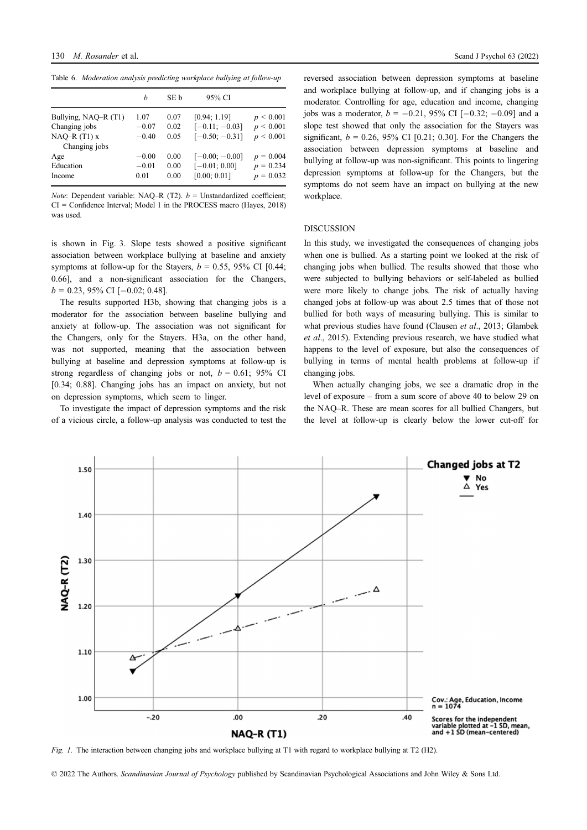Table 6. Moderation analysis predicting workplace bullying at follow-up

|                      | h       | SE b | 95% CI           |                |
|----------------------|---------|------|------------------|----------------|
| Bullying, NAQ-R (T1) | 1.07    | 0.07 | [0.94; 1.19]     | $p \leq 0.001$ |
| Changing jobs        | $-0.07$ | 0.02 | $[-0.11; -0.03]$ | p < 0.001      |
| NAQ $-R(T1)$ x       | $-0.40$ | 0.05 | $[-0.50; -0.31]$ | p < 0.001      |
| Changing jobs        |         |      |                  |                |
| Age                  | $-0.00$ | 0.00 | $[-0.00; -0.00]$ | $p = 0.004$    |
| Education            | $-0.01$ | 0.00 | $[-0.01; 0.00]$  | $p = 0.234$    |
| Income               | 0.01    | 0.00 | [0.00; 0.01]     | $p = 0.032$    |

Note: Dependent variable: NAQ–R (T2).  $b =$  Unstandardized coefficient; CI = Confidence Interval; Model 1 in the PROCESS macro (Hayes, 2018) was used.

is shown in Fig. 3. Slope tests showed a positive significant association between workplace bullying at baseline and anxiety symptoms at follow-up for the Stayers,  $b = 0.55$ , 95% CI [0.44; 0.66], and a non-significant association for the Changers,  $b = 0.23, 95\%$  CI [-0.02; 0.48].

The results supported H3b, showing that changing jobs is a moderator for the association between baseline bullying and anxiety at follow-up. The association was not significant for the Changers, only for the Stayers. H3a, on the other hand, was not supported, meaning that the association between bullying at baseline and depression symptoms at follow-up is strong regardless of changing jobs or not,  $b = 0.61$ ; 95% CI [0.34; 0.88]. Changing jobs has an impact on anxiety, but not on depression symptoms, which seem to linger.

To investigate the impact of depression symptoms and the risk of a vicious circle, a follow-up analysis was conducted to test the reversed association between depression symptoms at baseline and workplace bullying at follow-up, and if changing jobs is a moderator. Controlling for age, education and income, changing jobs was a moderator,  $b = -0.21$ , 95% CI [-0.32; -0.09] and a slope test showed that only the association for the Stayers was significant,  $b = 0.26$ , 95% CI [0.21; 0.30]. For the Changers the association between depression symptoms at baseline and bullying at follow-up was non-significant. This points to lingering depression symptoms at follow-up for the Changers, but the symptoms do not seem have an impact on bullying at the new workplace.

### DISCUSSION

In this study, we investigated the consequences of changing jobs when one is bullied. As a starting point we looked at the risk of changing jobs when bullied. The results showed that those who were subjected to bullying behaviors or self-labeled as bullied were more likely to change jobs. The risk of actually having changed jobs at follow-up was about 2.5 times that of those not bullied for both ways of measuring bullying. This is similar to what previous studies have found (Clausen et al., 2013; Glambek et al., 2015). Extending previous research, we have studied what happens to the level of exposure, but also the consequences of bullying in terms of mental health problems at follow-up if changing jobs.

When actually changing jobs, we see a dramatic drop in the level of exposure – from a sum score of above 40 to below 29 on the NAQ–R. These are mean scores for all bullied Changers, but the level at follow-up is clearly below the lower cut-off for



Fig. 1. The interaction between changing jobs and workplace bullying at T1 with regard to workplace bullying at T2 (H2).

<sup>© 2022</sup> The Authors. Scandinavian Journal of Psychology published by Scandinavian Psychological Associations and John Wiley & Sons Ltd.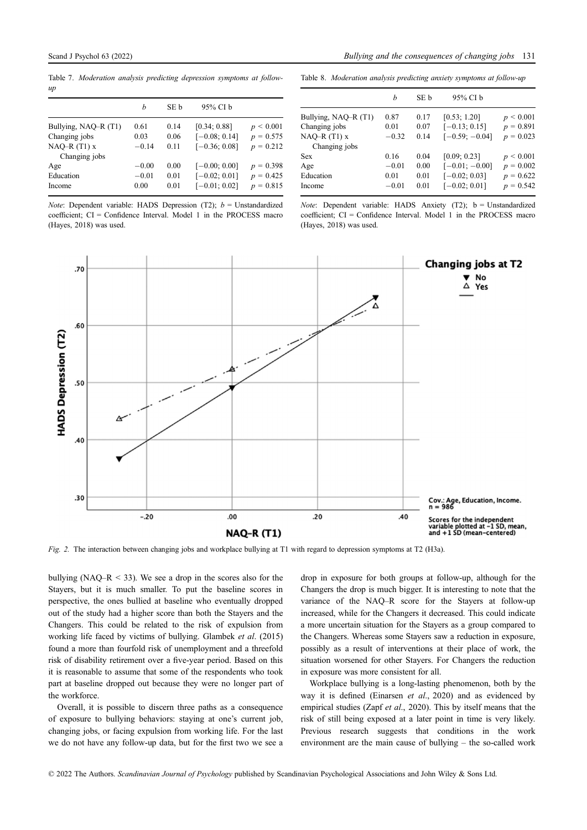Table 7. Moderation analysis predicting depression symptoms at followup

|  | Table 8. Moderation analysis predicting anxiety symptoms at follow-up |  |  |  |  |  |  |
|--|-----------------------------------------------------------------------|--|--|--|--|--|--|
|--|-----------------------------------------------------------------------|--|--|--|--|--|--|

|                      | h       | SE b | 95% CI b        |               |
|----------------------|---------|------|-----------------|---------------|
| Bullying, NAQ-R (T1) | 0.61    | 0.14 | [0.34; 0.88]    | $p \le 0.001$ |
| Changing jobs        | 0.03    | 0.06 | $[-0.08; 0.14]$ | $p = 0.575$   |
| NAQ-R $(T1)$ x       | $-0.14$ | 0.11 | $[-0.36; 0.08]$ | $p = 0.212$   |
| Changing jobs        |         |      |                 |               |
| Age                  | $-0.00$ | 0.00 | $[-0.00; 0.00]$ | $p = 0.398$   |
| Education            | $-0.01$ | 0.01 | $[-0.02; 0.01]$ | $p = 0.425$   |
| Income               | 0.00    | 0.01 | $[-0.01; 0.02]$ | $p = 0.815$   |

*Note*: Dependent variable: HADS Depression (T2);  $b =$  Unstandardized coefficient; CI = Confidence Interval. Model 1 in the PROCESS macro (Hayes, 2018) was used.

|                      | h       | SE b | 95% CI b         |                |
|----------------------|---------|------|------------------|----------------|
| Bullying, NAQ-R (T1) | 0.87    | 0.17 | [0.53; 1.20]     | $p \leq 0.001$ |
| Changing jobs        | 0.01    | 0.07 | $[-0.13; 0.15]$  | $p = 0.891$    |
| $NAQ-R(T1)$ x        | $-0.32$ | 0.14 | $[-0.59; -0.04]$ | $p = 0.023$    |
| Changing jobs        |         |      |                  |                |
| Sex                  | 0.16    | 0.04 | [0.09; 0.23]     | $p \leq 0.001$ |
| Age                  | $-0.01$ | 0.00 | $[-0.01; -0.00]$ | $p = 0.002$    |
| Education            | 0.01    | 0.01 | $[-0.02; 0.03]$  | $p = 0.622$    |
| Income               | $-0.01$ | 0.01 | $[-0.02; 0.01]$  | $p = 0.542$    |
|                      |         |      |                  |                |

*Note*: Dependent variable: HADS Anxiety (T2):  $b = Unstandardized$ coefficient; CI = Confidence Interval. Model 1 in the PROCESS macro (Hayes, 2018) was used.



Fig. 2. The interaction between changing jobs and workplace bullying at T1 with regard to depression symptoms at T2 (H3a).

bullying (NAQ–R  $\leq$  33). We see a drop in the scores also for the Stayers, but it is much smaller. To put the baseline scores in perspective, the ones bullied at baseline who eventually dropped out of the study had a higher score than both the Stayers and the Changers. This could be related to the risk of expulsion from working life faced by victims of bullying. Glambek et al. (2015) found a more than fourfold risk of unemployment and a threefold risk of disability retirement over a five-year period. Based on this it is reasonable to assume that some of the respondents who took part at baseline dropped out because they were no longer part of the workforce.

Overall, it is possible to discern three paths as a consequence of exposure to bullying behaviors: staying at one's current job, changing jobs, or facing expulsion from working life. For the last we do not have any follow-up data, but for the first two we see a drop in exposure for both groups at follow-up, although for the Changers the drop is much bigger. It is interesting to note that the variance of the NAQ–R score for the Stayers at follow-up increased, while for the Changers it decreased. This could indicate a more uncertain situation for the Stayers as a group compared to the Changers. Whereas some Stayers saw a reduction in exposure, possibly as a result of interventions at their place of work, the situation worsened for other Stayers. For Changers the reduction in exposure was more consistent for all.

Workplace bullying is a long-lasting phenomenon, both by the way it is defined (Einarsen et al., 2020) and as evidenced by empirical studies (Zapf et al., 2020). This by itself means that the risk of still being exposed at a later point in time is very likely. Previous research suggests that conditions in the work environment are the main cause of bullying – the so-called work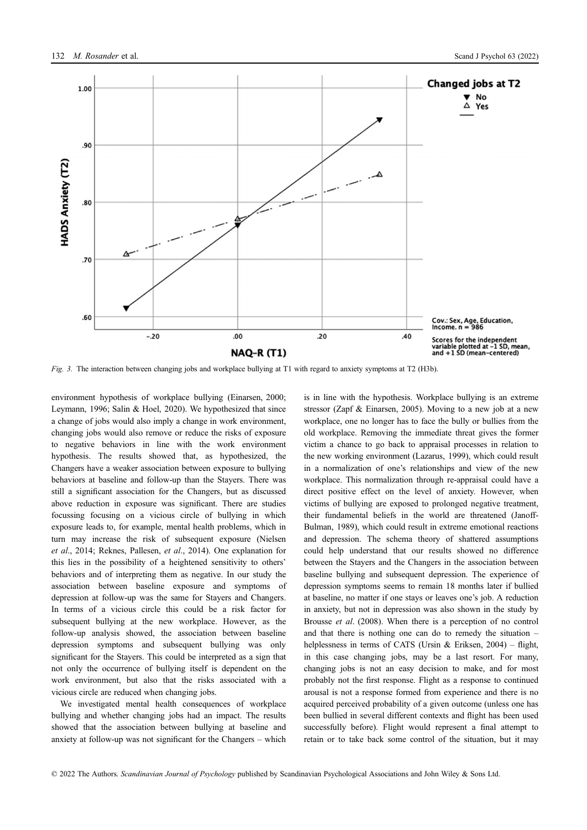

Fig. 3. The interaction between changing jobs and workplace bullying at T1 with regard to anxiety symptoms at T2 (H3b).

environment hypothesis of workplace bullying (Einarsen, 2000; Leymann, 1996; Salin & Hoel, 2020). We hypothesized that since a change of jobs would also imply a change in work environment, changing jobs would also remove or reduce the risks of exposure to negative behaviors in line with the work environment hypothesis. The results showed that, as hypothesized, the Changers have a weaker association between exposure to bullying behaviors at baseline and follow-up than the Stayers. There was still a significant association for the Changers, but as discussed above reduction in exposure was significant. There are studies focussing focusing on a vicious circle of bullying in which exposure leads to, for example, mental health problems, which in turn may increase the risk of subsequent exposure (Nielsen et al., 2014; Reknes, Pallesen, et al., 2014). One explanation for this lies in the possibility of a heightened sensitivity to others' behaviors and of interpreting them as negative. In our study the association between baseline exposure and symptoms of depression at follow-up was the same for Stayers and Changers. In terms of a vicious circle this could be a risk factor for subsequent bullying at the new workplace. However, as the follow-up analysis showed, the association between baseline depression symptoms and subsequent bullying was only significant for the Stayers. This could be interpreted as a sign that not only the occurrence of bullying itself is dependent on the work environment, but also that the risks associated with a vicious circle are reduced when changing jobs.

We investigated mental health consequences of workplace bullying and whether changing jobs had an impact. The results showed that the association between bullying at baseline and anxiety at follow-up was not significant for the Changers – which is in line with the hypothesis. Workplace bullying is an extreme stressor (Zapf & Einarsen, 2005). Moving to a new job at a new workplace, one no longer has to face the bully or bullies from the old workplace. Removing the immediate threat gives the former victim a chance to go back to appraisal processes in relation to the new working environment (Lazarus, 1999), which could result in a normalization of one's relationships and view of the new workplace. This normalization through re-appraisal could have a direct positive effect on the level of anxiety. However, when victims of bullying are exposed to prolonged negative treatment, their fundamental beliefs in the world are threatened (Janoff-Bulman, 1989), which could result in extreme emotional reactions and depression. The schema theory of shattered assumptions could help understand that our results showed no difference between the Stayers and the Changers in the association between baseline bullying and subsequent depression. The experience of depression symptoms seems to remain 18 months later if bullied at baseline, no matter if one stays or leaves one's job. A reduction in anxiety, but not in depression was also shown in the study by Brousse et al. (2008). When there is a perception of no control and that there is nothing one can do to remedy the situation – helplessness in terms of CATS (Ursin  $\&$  Eriksen, 2004) – flight, in this case changing jobs, may be a last resort. For many, changing jobs is not an easy decision to make, and for most probably not the first response. Flight as a response to continued arousal is not a response formed from experience and there is no acquired perceived probability of a given outcome (unless one has been bullied in several different contexts and flight has been used successfully before). Flight would represent a final attempt to retain or to take back some control of the situation, but it may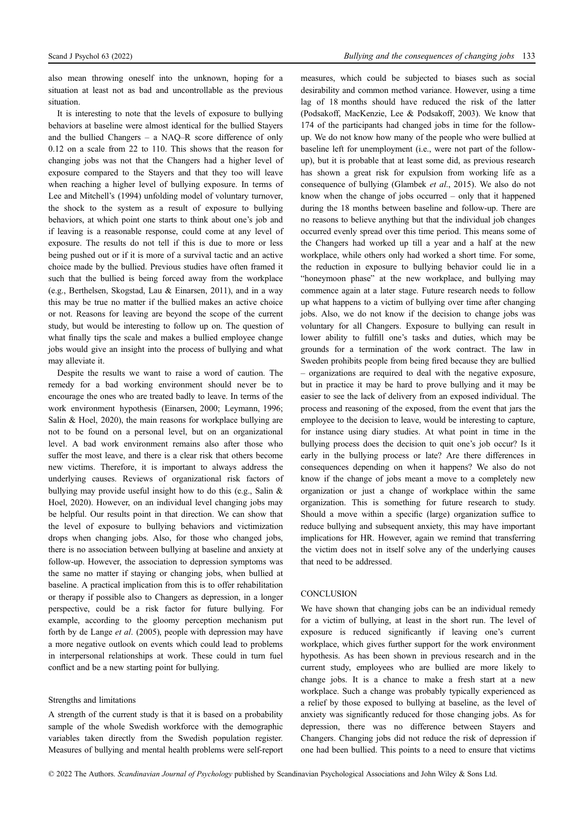also mean throwing oneself into the unknown, hoping for a situation at least not as bad and uncontrollable as the previous situation.

It is interesting to note that the levels of exposure to bullying behaviors at baseline were almost identical for the bullied Stayers and the bullied Changers – a NAQ–R score difference of only 0.12 on a scale from 22 to 110. This shows that the reason for changing jobs was not that the Changers had a higher level of exposure compared to the Stayers and that they too will leave when reaching a higher level of bullying exposure. In terms of Lee and Mitchell's (1994) unfolding model of voluntary turnover, the shock to the system as a result of exposure to bullying behaviors, at which point one starts to think about one's job and if leaving is a reasonable response, could come at any level of exposure. The results do not tell if this is due to more or less being pushed out or if it is more of a survival tactic and an active choice made by the bullied. Previous studies have often framed it such that the bullied is being forced away from the workplace (e.g., Berthelsen, Skogstad, Lau & Einarsen, 2011), and in a way this may be true no matter if the bullied makes an active choice or not. Reasons for leaving are beyond the scope of the current study, but would be interesting to follow up on. The question of what finally tips the scale and makes a bullied employee change jobs would give an insight into the process of bullying and what may alleviate it.

Despite the results we want to raise a word of caution. The remedy for a bad working environment should never be to encourage the ones who are treated badly to leave. In terms of the work environment hypothesis (Einarsen, 2000; Leymann, 1996; Salin & Hoel, 2020), the main reasons for workplace bullying are not to be found on a personal level, but on an organizational level. A bad work environment remains also after those who suffer the most leave, and there is a clear risk that others become new victims. Therefore, it is important to always address the underlying causes. Reviews of organizational risk factors of bullying may provide useful insight how to do this (e.g., Salin & Hoel, 2020). However, on an individual level changing jobs may be helpful. Our results point in that direction. We can show that the level of exposure to bullying behaviors and victimization drops when changing jobs. Also, for those who changed jobs, there is no association between bullying at baseline and anxiety at follow-up. However, the association to depression symptoms was the same no matter if staying or changing jobs, when bullied at baseline. A practical implication from this is to offer rehabilitation or therapy if possible also to Changers as depression, in a longer perspective, could be a risk factor for future bullying. For example, according to the gloomy perception mechanism put forth by de Lange et al. (2005), people with depression may have a more negative outlook on events which could lead to problems in interpersonal relationships at work. These could in turn fuel conflict and be a new starting point for bullying.

# Strengths and limitations

A strength of the current study is that it is based on a probability sample of the whole Swedish workforce with the demographic variables taken directly from the Swedish population register. Measures of bullying and mental health problems were self-report measures, which could be subjected to biases such as social desirability and common method variance. However, using a time lag of 18 months should have reduced the risk of the latter (Podsakoff, MacKenzie, Lee & Podsakoff, 2003). We know that 174 of the participants had changed jobs in time for the followup. We do not know how many of the people who were bullied at baseline left for unemployment (i.e., were not part of the followup), but it is probable that at least some did, as previous research has shown a great risk for expulsion from working life as a consequence of bullying (Glambek et al., 2015). We also do not know when the change of jobs occurred – only that it happened during the 18 months between baseline and follow-up. There are no reasons to believe anything but that the individual job changes occurred evenly spread over this time period. This means some of the Changers had worked up till a year and a half at the new workplace, while others only had worked a short time. For some, the reduction in exposure to bullying behavior could lie in a "honeymoon phase" at the new workplace, and bullying may commence again at a later stage. Future research needs to follow up what happens to a victim of bullying over time after changing jobs. Also, we do not know if the decision to change jobs was voluntary for all Changers. Exposure to bullying can result in lower ability to fulfill one's tasks and duties, which may be grounds for a termination of the work contract. The law in Sweden prohibits people from being fired because they are bullied – organizations are required to deal with the negative exposure, but in practice it may be hard to prove bullying and it may be easier to see the lack of delivery from an exposed individual. The process and reasoning of the exposed, from the event that jars the employee to the decision to leave, would be interesting to capture, for instance using diary studies. At what point in time in the bullying process does the decision to quit one's job occur? Is it early in the bullying process or late? Are there differences in consequences depending on when it happens? We also do not know if the change of jobs meant a move to a completely new organization or just a change of workplace within the same organization. This is something for future research to study. Should a move within a specific (large) organization suffice to reduce bullying and subsequent anxiety, this may have important implications for HR. However, again we remind that transferring the victim does not in itself solve any of the underlying causes that need to be addressed.

# **CONCLUSION**

We have shown that changing jobs can be an individual remedy for a victim of bullying, at least in the short run. The level of exposure is reduced significantly if leaving one's current workplace, which gives further support for the work environment hypothesis. As has been shown in previous research and in the current study, employees who are bullied are more likely to change jobs. It is a chance to make a fresh start at a new workplace. Such a change was probably typically experienced as a relief by those exposed to bullying at baseline, as the level of anxiety was significantly reduced for those changing jobs. As for depression, there was no difference between Stayers and Changers. Changing jobs did not reduce the risk of depression if one had been bullied. This points to a need to ensure that victims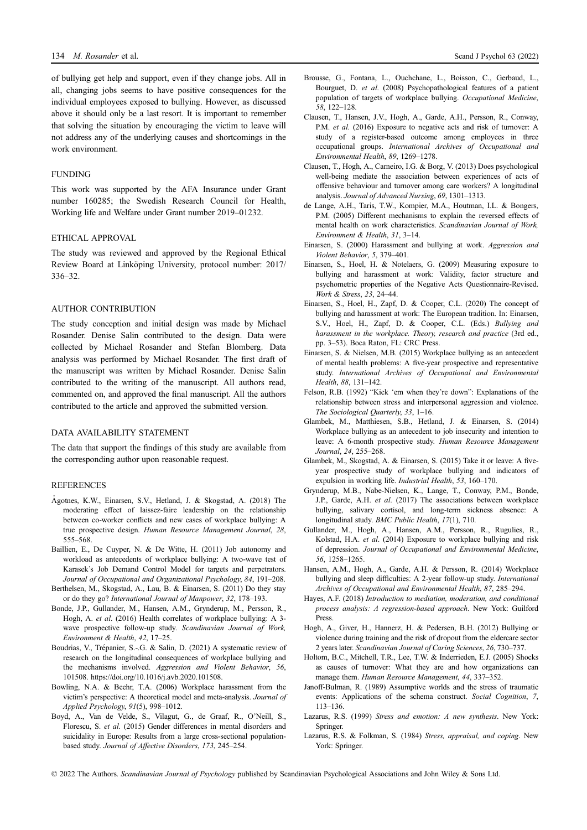of bullying get help and support, even if they change jobs. All in all, changing jobs seems to have positive consequences for the individual employees exposed to bullying. However, as discussed above it should only be a last resort. It is important to remember that solving the situation by encouraging the victim to leave will not address any of the underlying causes and shortcomings in the work environment.

# FUNDING

This work was supported by the AFA Insurance under Grant number 160285; the Swedish Research Council for Health, Working life and Welfare under Grant number 2019–01232.

# ETHICAL APPROVAL

The study was reviewed and approved by the Regional Ethical Review Board at Linköping University, protocol number: 2017/ 336–32.

# AUTHOR CONTRIBUTION

The study conception and initial design was made by Michael Rosander. Denise Salin contributed to the design. Data were collected by Michael Rosander and Stefan Blomberg. Data analysis was performed by Michael Rosander. The first draft of the manuscript was written by Michael Rosander. Denise Salin contributed to the writing of the manuscript. All authors read, commented on, and approved the final manuscript. All the authors contributed to the article and approved the submitted version.

# DATA AVAILABILITY STATEMENT

The data that support the findings of this study are available from the corresponding author upon reasonable request.

#### REFERENCES

- Agotnes, K.W., Einarsen, S.V., Hetland, J. & Skogstad, A. (2018) The moderating effect of laissez-faire leadership on the relationship between co-worker conflicts and new cases of workplace bullying: A true prospective design. Human Resource Management Journal, 28, 555–568.
- Baillien, E., De Cuyper, N. & De Witte, H. (2011) Job autonomy and workload as antecedents of workplace bullying: A two-wave test of Karasek's Job Demand Control Model for targets and perpetrators. Journal of Occupational and Organizational Psychology, 84, 191–208.
- Berthelsen, M., Skogstad, A., Lau, B. & Einarsen, S. (2011) Do they stay or do they go? International Journal of Manpower, 32, 178–193.
- Bonde, J.P., Gullander, M., Hansen, A.M., Grynderup, M., Persson, R., Hogh, A. et al. (2016) Health correlates of workplace bullying: A 3 wave prospective follow-up study. Scandinavian Journal of Work, Environment & Health, 42, 17–25.
- Boudrias, V., Trépanier, S.-.G. & Salin, D. (2021) A systematic review of research on the longitudinal consequences of workplace bullying and the mechanisms involved. Aggression and Violent Behavior, 56, 101508.<https://doi.org/10.1016/j.avb.2020.101508>.
- Bowling, N.A. & Beehr, T.A. (2006) Workplace harassment from the victim's perspective: A theoretical model and meta-analysis. Journal of Applied Psychology, 91(5), 998–1012.
- Boyd, A., Van de Velde, S., Vilagut, G., de Graaf, R., O'Neill, S., Florescu, S. et al. (2015) Gender differences in mental disorders and suicidality in Europe: Results from a large cross-sectional populationbased study. Journal of Affective Disorders, 173, 245–254.
- Brousse, G., Fontana, L., Ouchchane, L., Boisson, C., Gerbaud, L., Bourguet, D. et al. (2008) Psychopathological features of a patient population of targets of workplace bullying. Occupational Medicine, 58, 122–128.
- Clausen, T., Hansen, J.V., Hogh, A., Garde, A.H., Persson, R., Conway, P.M. *et al.* (2016) Exposure to negative acts and risk of turnover: A study of a register-based outcome among employees in three occupational groups. International Archives of Occupational and Environmental Health, 89, 1269–1278.
- Clausen, T., Hogh, A., Carneiro, I.G. & Borg, V. (2013) Does psychological well-being mediate the association between experiences of acts of offensive behaviour and turnover among care workers? A longitudinal analysis. Journal of Advanced Nursing, 69, 1301–1313.
- de Lange, A.H., Taris, T.W., Kompier, M.A., Houtman, I.L. & Bongers, P.M. (2005) Different mechanisms to explain the reversed effects of mental health on work characteristics. Scandinavian Journal of Work Environment & Health, 31, 3–14.
- Einarsen, S. (2000) Harassment and bullying at work. Aggression and Violent Behavior, 5, 379–401.
- Einarsen, S., Hoel, H. & Notelaers, G. (2009) Measuring exposure to bullying and harassment at work: Validity, factor structure and psychometric properties of the Negative Acts Questionnaire-Revised. Work & Stress, 23, 24–44.
- Einarsen, S., Hoel, H., Zapf, D. & Cooper, C.L. (2020) The concept of bullying and harassment at work: The European tradition. In: Einarsen, S.V., Hoel, H., Zapf, D. & Cooper, C.L. (Eds.) Bullying and harassment in the workplace. Theory, research and practice (3rd ed., pp. 3–53). Boca Raton, FL: CRC Press.
- Einarsen, S. & Nielsen, M.B. (2015) Workplace bullying as an antecedent of mental health problems: A five-year prospective and representative study. International Archives of Occupational and Environmental Health, 88, 131–142.
- Felson, R.B. (1992) "Kick 'em when they're down": Explanations of the relationship between stress and interpersonal aggression and violence. The Sociological Quarterly, 33, 1–16.
- Glambek, M., Matthiesen, S.B., Hetland, J. & Einarsen, S. (2014) Workplace bullying as an antecedent to job insecurity and intention to leave: A 6-month prospective study. Human Resource Management Journal, 24, 255–268.
- Glambek, M., Skogstad, A. & Einarsen, S. (2015) Take it or leave: A fiveyear prospective study of workplace bullying and indicators of expulsion in working life. Industrial Health, 53, 160–170.
- Grynderup, M.B., Nabe-Nielsen, K., Lange, T., Conway, P.M., Bonde, J.P., Garde, A.H. et al. (2017) The associations between workplace bullying, salivary cortisol, and long-term sickness absence: A longitudinal study. BMC Public Health, 17(1), 710.
- Gullander, M., Hogh, A., Hansen, A.M., Persson, R., Rugulies, R., Kolstad, H.A. et al. (2014) Exposure to workplace bullying and risk of depression. Journal of Occupational and Environmental Medicine, 56, 1258–1265.
- Hansen, A.M., Hogh, A., Garde, A.H. & Persson, R. (2014) Workplace bullying and sleep difficulties: A 2-year follow-up study. *International* Archives of Occupational and Environmental Health, 87, 285–294.
- Hayes, A.F. (2018) Introduction to mediation, moderation, and conditional process analysis: A regression-based approach. New York: Guilford Press.
- Hogh, A., Giver, H., Hannerz, H. & Pedersen, B.H. (2012) Bullying or violence during training and the risk of dropout from the eldercare sector 2 years later. Scandinavian Journal of Caring Sciences, 26, 730–737.
- Holtom, B.C., Mitchell, T.R., Lee, T.W. & Inderrieden, E.J. (2005) Shocks as causes of turnover: What they are and how organizations can manage them. Human Resource Management, 44, 337–352.
- Janoff-Bulman, R. (1989) Assumptive worlds and the stress of traumatic events: Applications of the schema construct. Social Cognition, 7, 113–136.
- Lazarus, R.S. (1999) Stress and emotion: A new synthesis. New York: Springer.
- Lazarus, R.S. & Folkman, S. (1984) Stress, appraisal, and coping. New York: Springer.

© 2022 The Authors. Scandinavian Journal of Psychology published by Scandinavian Psychological Associations and John Wiley & Sons Ltd.